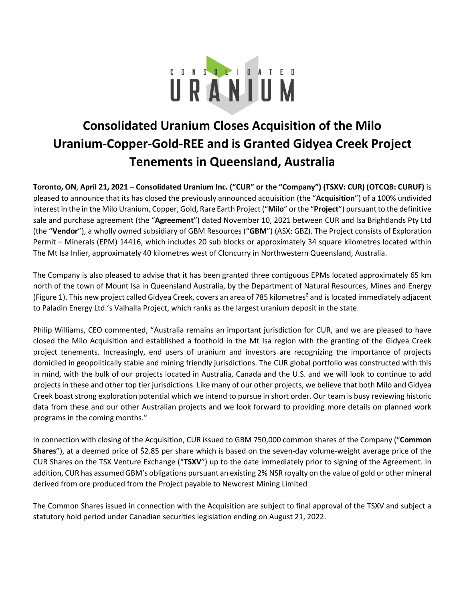

# **Consolidated Uranium Closes Acquisition of the Milo Uranium-Copper-Gold-REE and is Granted Gidyea Creek Project Tenements in Queensland, Australia**

**Toronto, ON**, **April 21, 2021 – Consolidated Uranium Inc. ("CUR" or the "Company") (TSXV: CUR) (OTCQB: CURUF)** is pleased to announce that its has closed the previously announced acquisition (the "**Acquisition**") of a 100% undivided interest in the in the Milo Uranium, Copper, Gold, Rare Earth Project ("**Milo**" or the "**Project**") pursuant to the definitive sale and purchase agreement (the "**Agreement**") dated November 10, 2021 between CUR and Isa Brightlands Pty Ltd (the "**Vendor**"), a wholly owned subsidiary of GBM Resources ("**GBM**") (ASX: GBZ). The Project consists of Exploration Permit – Minerals (EPM) 14416, which includes 20 sub blocks or approximately 34 square kilometres located within The Mt Isa Inlier, approximately 40 kilometres west of Cloncurry in Northwestern Queensland, Australia.

The Company is also pleased to advise that it has been granted three contiguous EPMs located approximately 65 km north of the town of Mount Isa in Queensland Australia, by the Department of Natural Resources, Mines and Energy (Figure 1). This new project called Gidyea Creek, covers an area of 785 kilometres<sup>2</sup> and is located immediately adjacent to Paladin Energy Ltd.'s Valhalla Project, which ranks as the largest uranium deposit in the state.

Philip Williams, CEO commented, "Australia remains an important jurisdiction for CUR, and we are pleased to have closed the Milo Acquisition and established a foothold in the Mt Isa region with the granting of the Gidyea Creek project tenements. Increasingly, end users of uranium and investors are recognizing the importance of projects domiciled in geopolitically stable and mining friendly jurisdictions. The CUR global portfolio was constructed with this in mind, with the bulk of our projects located in Australia, Canada and the U.S. and we will look to continue to add projects in these and other top tier jurisdictions. Like many of our other projects, we believe that both Milo and Gidyea Creek boast strong exploration potential which we intend to pursue in short order. Our team is busy reviewing historic data from these and our other Australian projects and we look forward to providing more details on planned work programs in the coming months."

In connection with closing of the Acquisition, CUR issued to GBM 750,000 common shares of the Company ("**Common Shares**"), at a deemed price of \$2.85 per share which is based on the seven-day volume-weight average price of the CUR Shares on the TSX Venture Exchange ("**TSXV**") up to the date immediately prior to signing of the Agreement. In addition, CUR has assumed GBM's obligations pursuant an existing 2% NSR royalty on the value of gold or other mineral derived from ore produced from the Project payable to Newcrest Mining Limited

The Common Shares issued in connection with the Acquisition are subject to final approval of the TSXV and subject a statutory hold period under Canadian securities legislation ending on August 21, 2022.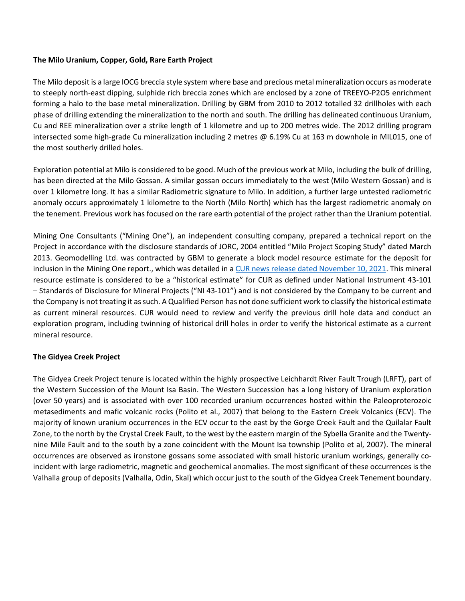#### **The Milo Uranium, Copper, Gold, Rare Earth Project**

The Milo deposit is a large IOCG breccia style system where base and precious metal mineralization occurs as moderate to steeply north-east dipping, sulphide rich breccia zones which are enclosed by a zone of TREEYO-P2O5 enrichment forming a halo to the base metal mineralization. Drilling by GBM from 2010 to 2012 totalled 32 drillholes with each phase of drilling extending the mineralization to the north and south. The drilling has delineated continuous Uranium, Cu and REE mineralization over a strike length of 1 kilometre and up to 200 metres wide. The 2012 drilling program intersected some high-grade Cu mineralization including 2 metres @ 6.19% Cu at 163 m downhole in MIL015, one of the most southerly drilled holes.

Exploration potential at Milo is considered to be good. Much of the previous work at Milo, including the bulk of drilling, has been directed at the Milo Gossan. A similar gossan occurs immediately to the west (Milo Western Gossan) and is over 1 kilometre long. It has a similar Radiometric signature to Milo. In addition, a further large untested radiometric anomaly occurs approximately 1 kilometre to the North (Milo North) which has the largest radiometric anomaly on the tenement. Previous work has focused on the rare earth potential of the project rather than the Uranium potential.

Mining One Consultants ("Mining One"), an independent consulting company, prepared a technical report on the Project in accordance with the disclosure standards of JORC, 2004 entitled "Milo Project Scoping Study" dated March 2013. Geomodelling Ltd. was contracted by GBM to generate a block model resource estimate for the deposit for inclusion in the Mining One report., which was detailed in a [CUR news release dated November 10, 2021.](https://consolidateduranium.com/news-releases/consolidated-uranium-to-acquire-the-milo-uranium-copper-gold-ree-project-in-queensland-australia/) This mineral resource estimate is considered to be a "historical estimate" for CUR as defined under National Instrument 43-101 – Standards of Disclosure for Mineral Projects ("NI 43-101") and is not considered by the Company to be current and the Company is not treating it as such. A Qualified Person has not done sufficient work to classify the historical estimate as current mineral resources. CUR would need to review and verify the previous drill hole data and conduct an exploration program, including twinning of historical drill holes in order to verify the historical estimate as a current mineral resource.

# **The Gidyea Creek Project**

The Gidyea Creek Project tenure is located within the highly prospective Leichhardt River Fault Trough (LRFT), part of the Western Succession of the Mount Isa Basin. The Western Succession has a long history of Uranium exploration (over 50 years) and is associated with over 100 recorded uranium occurrences hosted within the Paleoproterozoic metasediments and mafic volcanic rocks (Polito et al., 2007) that belong to the Eastern Creek Volcanics (ECV). The majority of known uranium occurrences in the ECV occur to the east by the Gorge Creek Fault and the Quilalar Fault Zone, to the north by the Crystal Creek Fault, to the west by the eastern margin of the Sybella Granite and the Twentynine Mile Fault and to the south by a zone coincident with the Mount Isa township (Polito et al, 2007). The mineral occurrences are observed as ironstone gossans some associated with small historic uranium workings, generally coincident with large radiometric, magnetic and geochemical anomalies. The most significant of these occurrences is the Valhalla group of deposits (Valhalla, Odin, Skal) which occur just to the south of the Gidyea Creek Tenement boundary.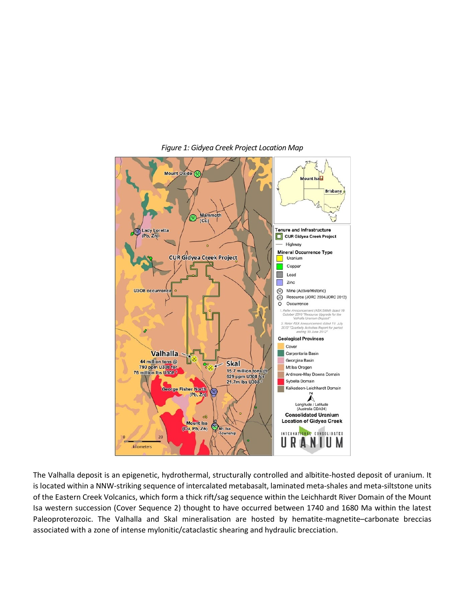

#### *Figure 1: Gidyea Creek Project Location Map*

The Valhalla deposit is an epigenetic, hydrothermal, structurally controlled and albitite-hosted deposit of uranium. It is located within a NNW-striking sequence of intercalated metabasalt, laminated meta-shales and meta-siltstone units of the Eastern Creek Volcanics, which form a thick rift/sag sequence within the Leichhardt River Domain of the Mount Isa western succession (Cover Sequence 2) thought to have occurred between 1740 and 1680 Ma within the latest Paleoproterozoic. The Valhalla and Skal mineralisation are hosted by hematite-magnetite–carbonate breccias associated with a zone of intense mylonitic/cataclastic shearing and hydraulic brecciation.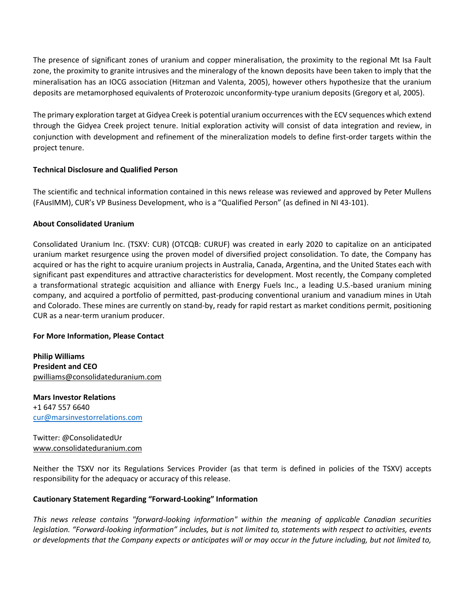The presence of significant zones of uranium and copper mineralisation, the proximity to the regional Mt Isa Fault zone, the proximity to granite intrusives and the mineralogy of the known deposits have been taken to imply that the mineralisation has an IOCG association (Hitzman and Valenta, 2005), however others hypothesize that the uranium deposits are metamorphosed equivalents of Proterozoic unconformity-type uranium deposits (Gregory et al, 2005).

The primary exploration target at Gidyea Creek is potential uranium occurrences with the ECV sequences which extend through the Gidyea Creek project tenure. Initial exploration activity will consist of data integration and review, in conjunction with development and refinement of the mineralization models to define first-order targets within the project tenure.

### **Technical Disclosure and Qualified Person**

The scientific and technical information contained in this news release was reviewed and approved by Peter Mullens (FAusIMM), CUR's VP Business Development, who is a "Qualified Person" (as defined in NI 43-101).

### **About Consolidated Uranium**

Consolidated Uranium Inc. (TSXV: CUR) (OTCQB: CURUF) was created in early 2020 to capitalize on an anticipated uranium market resurgence using the proven model of diversified project consolidation. To date, the Company has acquired or has the right to acquire uranium projects in Australia, Canada, Argentina, and the United States each with significant past expenditures and attractive characteristics for development. Most recently, the Company completed a transformational strategic acquisition and alliance with Energy Fuels Inc., a leading U.S.-based uranium mining company, and acquired a portfolio of permitted, past-producing conventional uranium and vanadium mines in Utah and Colorado. These mines are currently on stand-by, ready for rapid restart as market conditions permit, positioning CUR as a near-term uranium producer.

#### **For More Information, Please Contact**

**Philip Williams President and CEO** pwilliams@consolidateduranium.com

**Mars Investor Relations** +1 647 557 6640 [cur@marsinvestorrelations.com](mailto:cur@marsinvestorrelations.com)

Twitter: @ConsolidatedUr www.consolidateduranium.com

Neither the TSXV nor its Regulations Services Provider (as that term is defined in policies of the TSXV) accepts responsibility for the adequacy or accuracy of this release.

# **Cautionary Statement Regarding "Forward-Looking" Information**

*This news release contains "forward-looking information" within the meaning of applicable Canadian securities legislation. "Forward-looking information" includes, but is not limited to, statements with respect to activities, events or developments that the Company expects or anticipates will or may occur in the future including, but not limited to,*